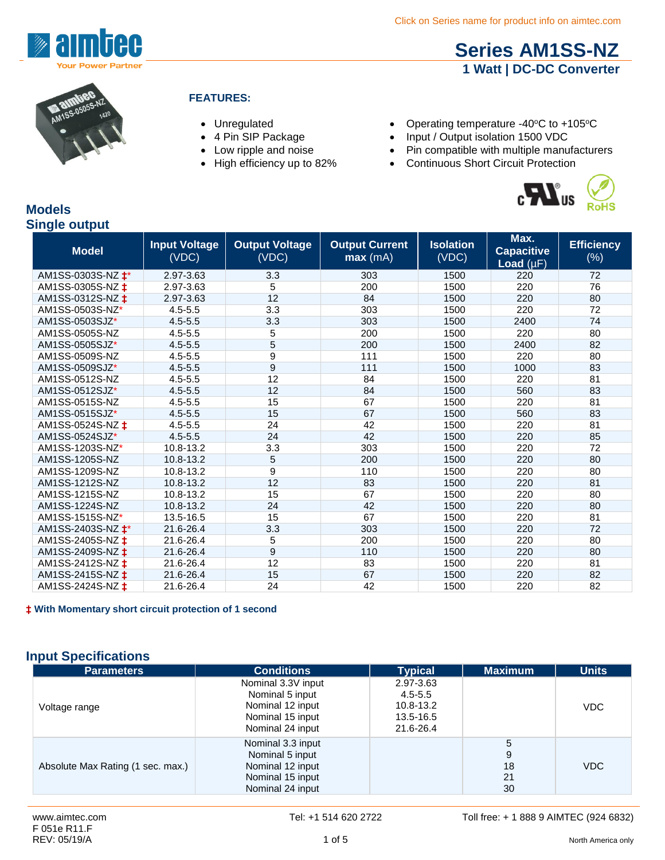

# **[Series AM1SS-NZ](http://www.aimtec.com/am1ss-nz) 1 Watt | DC-DC Converter**



### **FEATURES:**

- 
- 
- 
- 
- Unregulated Operating temperature -40°C to +105°C
- 4 Pin SIP Package Input / Output isolation 1500 VDC
- Low ripple and noise Pin compatible with multiple manufacturers<br>• High efficiency up to 82% Continuous Short Circuit Protection
	- Continuous Short Circuit Protection



### **Models Single output**

| <b>Model</b>                | <b>Input Voltage</b><br>(VDC) | <b>Output Voltage</b><br>(VDC) | <b>Output Current</b><br>max(mA) | <b>Isolation</b><br>(VDC) | Max.<br><b>Capacitive</b><br>Load $(\mu F)$ | <b>Efficiency</b><br>$(\%)$ |
|-----------------------------|-------------------------------|--------------------------------|----------------------------------|---------------------------|---------------------------------------------|-----------------------------|
| AM1SS-0303S-NZ $\text{+}^*$ | 2.97-3.63                     | 3.3                            | 303                              | 1500                      | 220                                         | 72                          |
| AM1SS-0305S-NZ ±            | 2.97-3.63                     | 5                              | 200                              | 1500                      | 220                                         | 76                          |
| AM1SS-0312S-NZ $\ddagger$   | 2.97-3.63                     | 12                             | 84                               | 1500                      | 220                                         | 80                          |
| AM1SS-0503S-NZ*             | $4.5 - 5.5$                   | 3.3                            | 303                              | 1500                      | 220                                         | 72                          |
| AM1SS-0503SJZ*              | $4.5 - 5.5$                   | 3.3                            | 303                              | 1500                      | 2400                                        | 74                          |
| AM1SS-0505S-NZ              | $4.5 - 5.5$                   | 5                              | 200                              | 1500                      | 220                                         | 80                          |
| AM1SS-0505SJZ*              | $4.5 - 5.5$                   | 5                              | 200                              | 1500                      | 2400                                        | 82                          |
| AM1SS-0509S-NZ              | $4.5 - 5.5$                   | 9                              | 111                              | 1500                      | 220                                         | 80                          |
| AM1SS-0509SJZ*              | $4.5 - 5.5$                   | $\overline{9}$                 | 111                              | 1500                      | 1000                                        | 83                          |
| AM1SS-0512S-NZ              | $4.5 - 5.5$                   | 12                             | 84                               | 1500                      | 220                                         | 81                          |
| AM1SS-0512SJZ*              | $4.5 - 5.5$                   | 12                             | 84                               | 1500                      | 560                                         | 83                          |
| AM1SS-0515S-NZ              | $4.5 - 5.5$                   | 15                             | 67                               | 1500                      | 220                                         | 81                          |
| AM1SS-0515SJZ*              | $4.5 - 5.5$                   | 15                             | 67                               | 1500                      | 560                                         | 83                          |
| AM1SS-0524S-NZ $\ddagger$   | $4.5 - 5.5$                   | 24                             | 42                               | 1500                      | 220                                         | 81                          |
| AM1SS-0524SJZ*              | $4.5 - 5.5$                   | 24                             | 42                               | 1500                      | 220                                         | 85                          |
| AM1SS-1203S-NZ*             | 10.8-13.2                     | 3.3                            | 303                              | 1500                      | 220                                         | 72                          |
| AM1SS-1205S-NZ              | 10.8-13.2                     | 5                              | 200                              | 1500                      | 220                                         | 80                          |
| AM1SS-1209S-NZ              | 10.8-13.2                     | 9                              | 110                              | 1500                      | 220                                         | 80                          |
| AM1SS-1212S-NZ              | 10.8-13.2                     | 12                             | 83                               | 1500                      | 220                                         | 81                          |
| AM1SS-1215S-NZ              | 10.8-13.2                     | 15                             | 67                               | 1500                      | 220                                         | 80                          |
| AM1SS-1224S-NZ              | 10.8-13.2                     | 24                             | 42                               | 1500                      | 220                                         | 80                          |
| AM1SS-1515S-NZ*             | 13.5-16.5                     | 15                             | 67                               | 1500                      | 220                                         | 81                          |
| AM1SS-2403S-NZ $\text{+}^*$ | 21.6-26.4                     | 3.3                            | 303                              | 1500                      | 220                                         | 72                          |
| AM1SS-2405S-NZ $\ddagger$   | 21.6-26.4                     | 5                              | 200                              | 1500                      | 220                                         | 80                          |
| AM1SS-2409S-NZ $\ddagger$   | 21.6-26.4                     | 9                              | 110                              | 1500                      | 220                                         | 80                          |
| AM1SS-2412S-NZ $\ddagger$   | 21.6-26.4                     | 12                             | 83                               | 1500                      | 220                                         | 81                          |
| AM1SS-2415S-NZ <b>±</b>     | 21.6-26.4                     | 15                             | 67                               | 1500                      | 220                                         | 82                          |
| AM1SS-2424S-NZ ±            | 21.6-26.4                     | 24                             | 42                               | 1500                      | 220                                         | 82                          |

**‡ With Momentary short circuit protection of 1 second** 

### **Input Specifications**

| <b>Parameters</b>                 | <b>Conditions</b>                                                                                 | <b>Typical</b>                                                  | <b>Maximum</b>           | <b>Units</b> |
|-----------------------------------|---------------------------------------------------------------------------------------------------|-----------------------------------------------------------------|--------------------------|--------------|
| Voltage range                     | Nominal 3.3V input<br>Nominal 5 input<br>Nominal 12 input<br>Nominal 15 input<br>Nominal 24 input | 2.97-3.63<br>$4.5 - 5.5$<br>10.8-13.2<br>13.5-16.5<br>21.6-26.4 |                          | <b>VDC</b>   |
| Absolute Max Rating (1 sec. max.) | Nominal 3.3 input<br>Nominal 5 input<br>Nominal 12 input<br>Nominal 15 input<br>Nominal 24 input  |                                                                 | 5<br>9<br>18<br>21<br>30 | <b>VDC</b>   |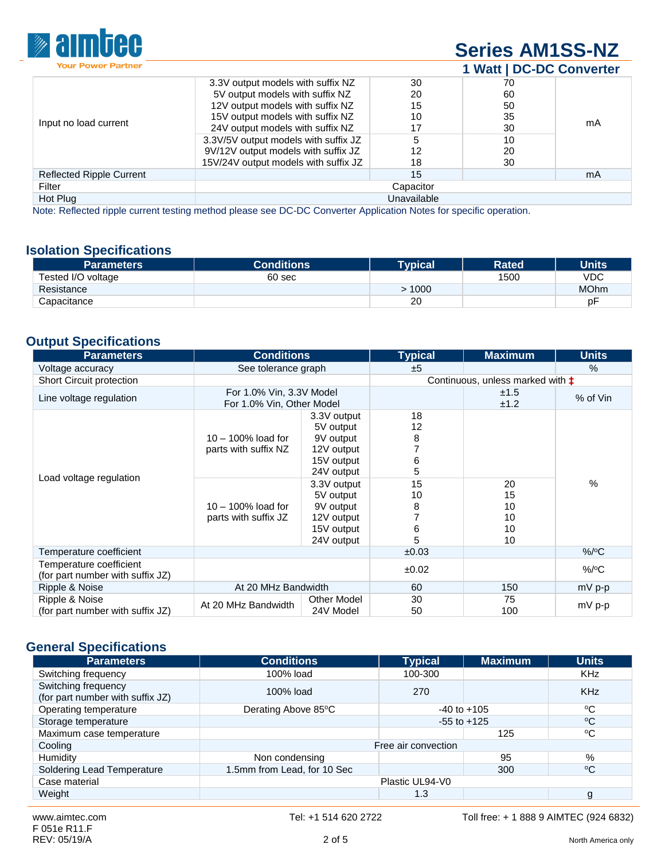

# **[Series AM1SS-NZ](http://www.aimtec.com/am1ss-nz) 1 Watt | DC-DC Converter**

|                                                        | 3.3V output models with suffix NZ    | 30 | 70 |    |  |
|--------------------------------------------------------|--------------------------------------|----|----|----|--|
|                                                        | 5V output models with suffix NZ      | 20 | 60 |    |  |
|                                                        | 12V output models with suffix NZ     | 15 | 50 |    |  |
|                                                        | 15V output models with suffix NZ     | 10 | 35 |    |  |
| Input no load current                                  | 24V output models with suffix NZ     | 17 | 30 | mA |  |
|                                                        | 3.3V/5V output models with suffix JZ | 5  | 10 |    |  |
|                                                        | 9V/12V output models with suffix JZ  | 12 | 20 |    |  |
|                                                        | 15V/24V output models with suffix JZ | 18 | 30 |    |  |
| <b>Reflected Ripple Current</b>                        |                                      | 15 |    | mA |  |
| Filter                                                 | Capacitor                            |    |    |    |  |
| Hot Plug                                               | Unavailable                          |    |    |    |  |
| <u>sia mataisia arabita in monoo aastata arabita a</u> |                                      |    |    |    |  |

Note: Reflected ripple current testing method please see DC-DC Converter Application Notes for specific operation.

### **Isolation Specifications**

| <b>Parameters</b>  | Conditions <b>\</b> | Tvpicall | <b>Rated</b> | <b>Units</b> |
|--------------------|---------------------|----------|--------------|--------------|
| Tested I/O voltage | 60 sec              |          | 1500         | <b>VDC</b>   |
| Resistance         |                     | 1000     |              | <b>MOhm</b>  |
| Capacitance        |                     | 20       |              | рF           |

# **Output Specifications**

| <b>Parameters</b>                                           | <b>Conditions</b>                                                                              |                                                                                                                                                                    | <b>Typical</b>                                     | <b>Maximum</b>                   | <b>Units</b> |
|-------------------------------------------------------------|------------------------------------------------------------------------------------------------|--------------------------------------------------------------------------------------------------------------------------------------------------------------------|----------------------------------------------------|----------------------------------|--------------|
| Voltage accuracy                                            | See tolerance graph                                                                            |                                                                                                                                                                    | ±5                                                 |                                  | %            |
| Short Circuit protection                                    |                                                                                                |                                                                                                                                                                    | Continuous, unless marked with $\ddagger$          |                                  |              |
| Line voltage regulation                                     | For 1.0% Vin, 3.3V Model<br>For 1.0% Vin, Other Model                                          |                                                                                                                                                                    |                                                    | ±1.5<br>±1.2                     | % of Vin     |
| Load voltage regulation                                     | $10 - 100\%$ load for<br>parts with suffix NZ<br>$10 - 100\%$ load for<br>parts with suffix JZ | 3.3V output<br>5V output<br>9V output<br>12V output<br>15V output<br>24V output<br>3.3V output<br>5V output<br>9V output<br>12V output<br>15V output<br>24V output | 18<br>12<br>8<br>6<br>5<br>15<br>10<br>8<br>6<br>5 | 20<br>15<br>10<br>10<br>10<br>10 | %            |
| Temperature coefficient                                     |                                                                                                |                                                                                                                                                                    | ±0.03                                              |                                  | $\%$ /°C     |
| Temperature coefficient<br>(for part number with suffix JZ) |                                                                                                |                                                                                                                                                                    | ±0.02                                              |                                  | $\%$ /°C     |
| Ripple & Noise                                              | At 20 MHz Bandwidth                                                                            |                                                                                                                                                                    | 60                                                 | 150                              | $mV$ p-p     |
| Ripple & Noise<br>(for part number with suffix JZ)          | At 20 MHz Bandwidth                                                                            | <b>Other Model</b><br>24V Model                                                                                                                                    | 30<br>50                                           | 75<br>100                        | mV p-p       |

# **General Specifications**

| <b>Parameters</b>                | <b>Conditions</b>           | <b>Typical</b>  | <b>Maximum</b>  | <b>Units</b> |
|----------------------------------|-----------------------------|-----------------|-----------------|--------------|
| Switching frequency              | 100% load                   | 100-300         |                 | <b>KHz</b>   |
| Switching frequency              | 100% load                   | 270             |                 | <b>KHz</b>   |
| (for part number with suffix JZ) |                             |                 |                 |              |
| Operating temperature            | Derating Above 85°C         | $-40$ to $+105$ |                 | °C           |
| Storage temperature              |                             |                 | $-55$ to $+125$ |              |
| Maximum case temperature         |                             |                 | 125             | °C           |
| Cooling                          | Free air convection         |                 |                 |              |
| Humidity                         | Non condensing              |                 | 95              | %            |
| Soldering Lead Temperature       | 1.5mm from Lead, for 10 Sec |                 | 300             | $^{\circ}C$  |
| Case material                    | Plastic UL94-V0             |                 |                 |              |
| Weight                           |                             | 1.3             |                 | g            |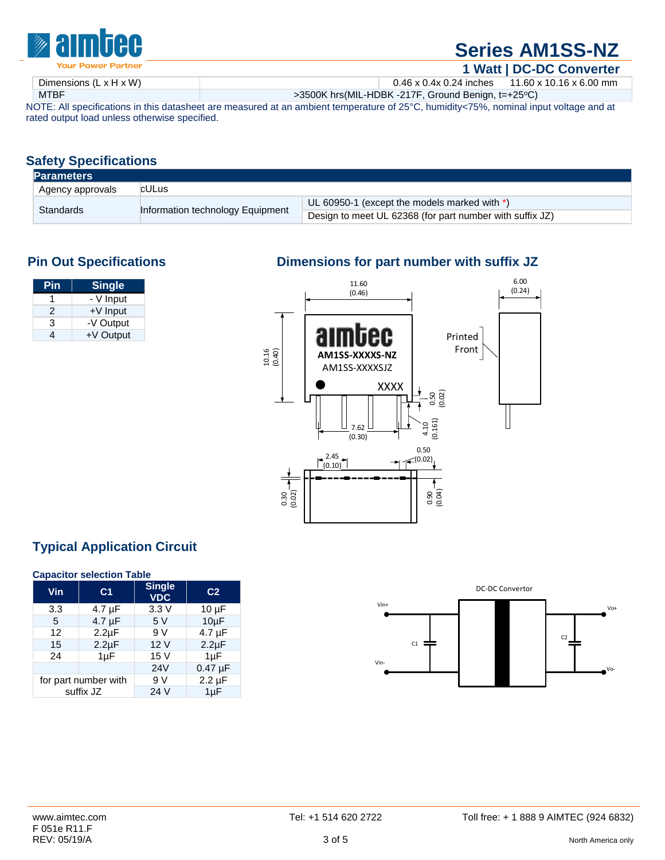

# **[Series AM1SS-NZ](http://www.aimtec.com/am1ss-nz)**

**1 Watt | DC-DC Converter** Dimensions (L x H x W) 0.46 x 0.4x 0.24 inches 11.60 x 10.16 x 6.00 mm MTBF **MTBF** >3500K hrs(MIL-HDBK -217F, Ground Benign, t=+25°C)

NOTE: All specifications in this datasheet are measured at an ambient temperature of 25°C, humidity<75%, nominal input voltage and at rated output load unless otherwise specified.

# **Safety Specifications**

| <b>Parameters</b> |                                  |                                                          |  |  |
|-------------------|----------------------------------|----------------------------------------------------------|--|--|
| Agency approvals  | cULus                            |                                                          |  |  |
|                   | Information technology Equipment | UL 60950-1 (except the models marked with *)             |  |  |
| Standards         |                                  | Design to meet UL 62368 (for part number with suffix JZ) |  |  |

| <u>Pin</u> | <b>Single</b> |
|------------|---------------|
|            | - V Input     |
| 2          | $+V$ Input    |
| з          | -V Output     |
|            | +V Output     |

# **Pin Out Specifications Dimensions for part number with suffix JZ**



# **Typical Application Circuit**

### **Capacitor selection Table**

| Vin                  | C <sub>1</sub> | <b>Single</b><br><b>VDC</b> | C <sub>2</sub> |
|----------------------|----------------|-----------------------------|----------------|
| 3.3                  | 4.7 µF         | 3.3V                        | $10 \mu F$     |
| 5                    | $4.7 \mu F$    | 5V                          | $10\mu F$      |
| 12                   | $2.2\mu F$     | 9V                          | $4.7 \mu F$    |
| 15                   | $2.2 \mu F$    | 12V                         | $2.2 \mu F$    |
| 24                   | $1\mu F$       | 15 V                        | $1\mu F$       |
|                      |                | 24V                         | $0.47 \mu F$   |
| for part number with |                | 9 V                         | $2.2 \mu F$    |
| suffix JZ            |                | 24 V                        | $1\mu F$       |

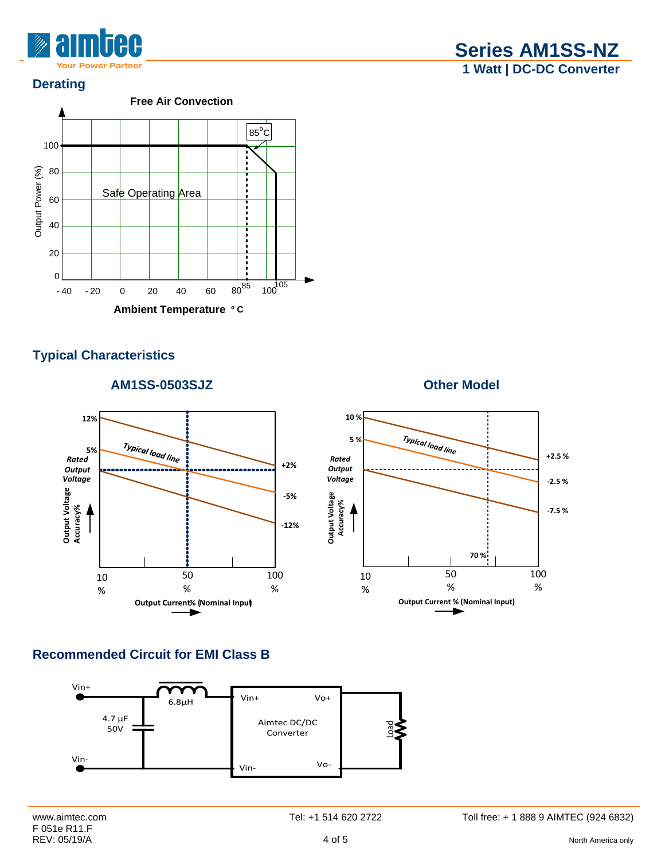

### **Derating**



# **Typical Characteristics**

# **AM1SS-0503SJZ Other Model**



# **Recommended Circuit for EMI Class B**